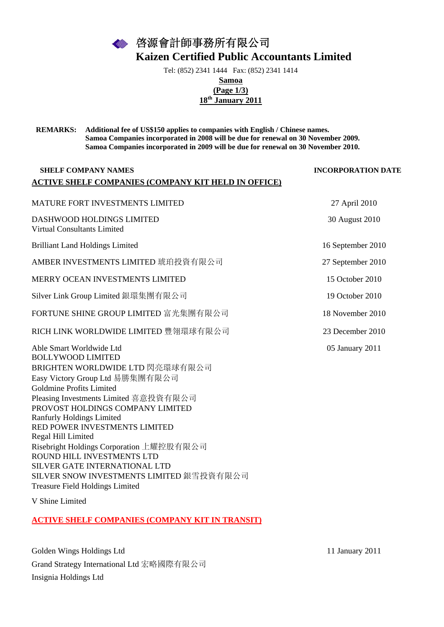啓源會計師事務所有限公司 **Kaizen Certified Public Accountants Limited** 

Tel: (852) 2341 1444 Fax: (852) 2341 1414

**Samoa (Page 1/3)** 

**18th January 2011**

**REMARKS: Additional fee of US\$150 applies to companies with English / Chinese names. Samoa Companies incorporated in 2008 will be due for renewal on 30 November 2009. Samoa Companies incorporated in 2009 will be due for renewal on 30 November 2010.** 

### **SHELF COMPANY NAMES INCORPORATION DATE ACTIVE SHELF COMPANIES (COMPANY KIT HELD IN OFFICE)**

MATURE FORT INVESTMENTS LIMITED 27 April 2010 DASHWOOD HOLDINGS LIMITED 30 August 2010 Virtual Consultants Limited Brilliant Land Holdings Limited 16 September 2010 AMBER INVESTMENTS LIMITED 琥珀投資有限公司 27 September 2010 MERRY OCEAN INVESTMENTS LIMITED 15 October 2010 Silver Link Group Limited 銀環集團有限公司 19 October 2010 FORTUNE SHINE GROUP LIMITED 富光集團有限公司 18 November 2010 RICH LINK WORLDWIDE LIMITED 豐翎環球有限公司 23 December 2010 Able Smart Worldwide Ltd 05 January 2011 BOLLYWOOD LIMITED BRIGHTEN WORLDWIDE LTD 閃亮環球有限公司 Easy Victory Group Ltd 易勝集團有限公司 Goldmine Profits Limited Pleasing Investments Limited 喜意投資有限公司 PROVOST HOLDINGS COMPANY LIMITED Ranfurly Holdings Limited RED POWER INVESTMENTS LIMITED Regal Hill Limited Risebright Holdings Corporation 上耀控股有限公司 ROUND HILL INVESTMENTS LTD SILVER GATE INTERNATIONAL LTD

V Shine Limited

Treasure Field Holdings Limited

## **ACTIVE SHELF COMPANIES (COMPANY KIT IN TRANSIT)**

SILVER SNOW INVESTMENTS LIMITED 銀雪投資有限公司

Golden Wings Holdings Ltd 11 January 2011 Grand Strategy International Ltd 宏略國際有限公司 Insignia Holdings Ltd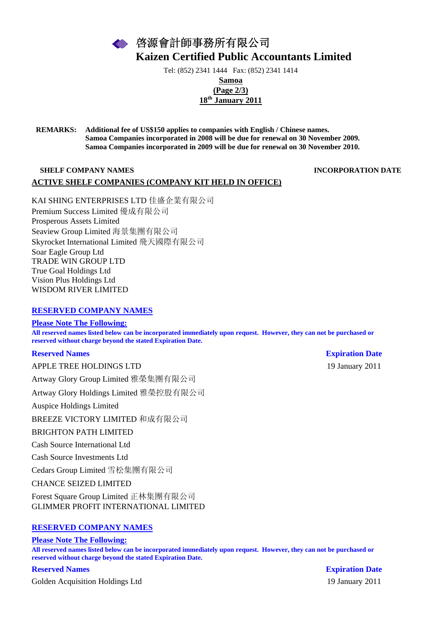啓源會計師事務所有限公司 **Kaizen Certified Public Accountants Limited** 

Tel: (852) 2341 1444 Fax: (852) 2341 1414

**Samoa (Page 2/3) 18th January 2011**

**REMARKS: Additional fee of US\$150 applies to companies with English / Chinese names. Samoa Companies incorporated in 2008 will be due for renewal on 30 November 2009. Samoa Companies incorporated in 2009 will be due for renewal on 30 November 2010.** 

## **SHELF COMPANY NAMES INCORPORATION DATE ACTIVE SHELF COMPANIES (COMPANY KIT HELD IN OFFICE)**

KAI SHING ENTERPRISES LTD 佳盛企業有限公司 Premium Success Limited 優成有限公司 Prosperous Assets Limited Seaview Group Limited 海景集團有限公司 Skyrocket International Limited 飛天國際有限公司 Soar Eagle Group Ltd TRADE WIN GROUP LTD True Goal Holdings Ltd Vision Plus Holdings Ltd WISDOM RIVER LIMITED

### **RESERVED COMPANY NAMES**

**Please Note The Following: All reserved names listed below can be incorporated immediately upon request. However, they can not be purchased or reserved without charge beyond the stated Expiration Date.**

#### **Reserved Names Expiration Date Expiration Date**

APPLE TREE HOLDINGS LTD 19 January 2011 Artway Glory Group Limited 雅榮集團有限公司 Artway Glory Holdings Limited 雅榮控股有限公司

Auspice Holdings Limited

BREEZE VICTORY LIMITED 和成有限公司

#### BRIGHTON PATH LIMITED

Cash Source International Ltd

Cash Source Investments Ltd

Cedars Group Limited 雪松集團有限公司

CHANCE SEIZED LIMITED

Forest Square Group Limited 正林集團有限公司 GLIMMER PROFIT INTERNATIONAL LIMITED

## **RESERVED COMPANY NAMES**

**Please Note The Following:**

**All reserved names listed below can be incorporated immediately upon request. However, they can not be purchased or reserved without charge beyond the stated Expiration Date.**

**Reserved Names Expiration Date**

Golden Acquisition Holdings Ltd 19 January 2011